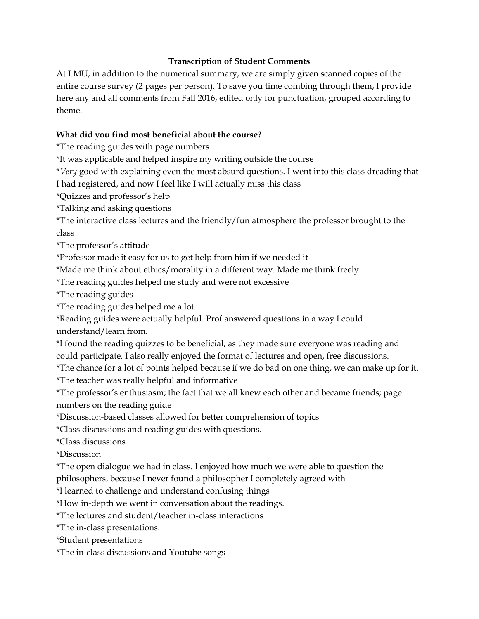## Transcription of Student Comments

At LMU, in addition to the numerical summary, we are simply given scanned copies of the entire course survey (2 pages per person). To save you time combing through them, I provide here any and all comments from Fall 2016, edited only for punctuation, grouped according to theme.

## What did you find most beneficial about the course?

\*The reading guides with page numbers

\*It was applicable and helped inspire my writing outside the course

\*Very good with explaining even the most absurd questions. I went into this class dreading that

I had registered, and now I feel like I will actually miss this class

\*Quizzes and professor's help

\*Talking and asking questions

\*The interactive class lectures and the friendly/fun atmosphere the professor brought to the class

\*The professor's attitude

\*Professor made it easy for us to get help from him if we needed it

\*Made me think about ethics/morality in a different way. Made me think freely

\*The reading guides helped me study and were not excessive

\*The reading guides

\*The reading guides helped me a lot.

\*Reading guides were actually helpful. Prof answered questions in a way I could understand/learn from.

\*I found the reading quizzes to be beneficial, as they made sure everyone was reading and could participate. I also really enjoyed the format of lectures and open, free discussions.

\*The chance for a lot of points helped because if we do bad on one thing, we can make up for it.

\*The teacher was really helpful and informative

\*The professor's enthusiasm; the fact that we all knew each other and became friends; page numbers on the reading guide

\*Discussion-based classes allowed for better comprehension of topics

\*Class discussions and reading guides with questions.

\*Class discussions

\*Discussion

\*The open dialogue we had in class. I enjoyed how much we were able to question the

philosophers, because I never found a philosopher I completely agreed with

\*I learned to challenge and understand confusing things

\*How in-depth we went in conversation about the readings.

\*The lectures and student/teacher in-class interactions

\*The in-class presentations.

\*Student presentations

\*The in-class discussions and Youtube songs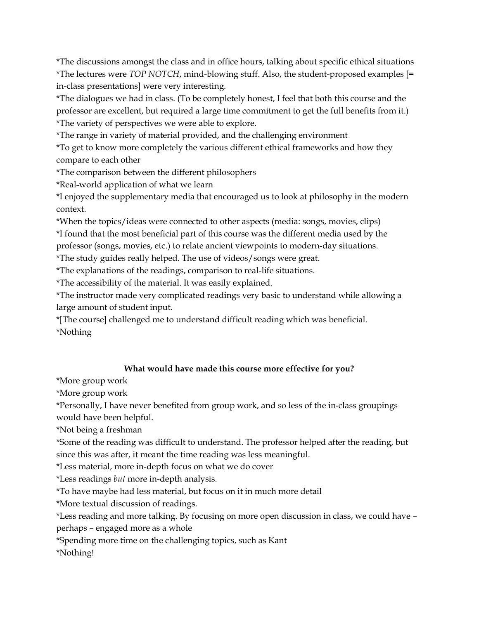\*The discussions amongst the class and in office hours, talking about specific ethical situations \*The lectures were TOP NOTCH, mind-blowing stuff. Also, the student-proposed examples [= in-class presentations] were very interesting.

\*The dialogues we had in class. (To be completely honest, I feel that both this course and the professor are excellent, but required a large time commitment to get the full benefits from it.) \*The variety of perspectives we were able to explore.

\*The range in variety of material provided, and the challenging environment

\*To get to know more completely the various different ethical frameworks and how they compare to each other

\*The comparison between the different philosophers

\*Real-world application of what we learn

\*I enjoyed the supplementary media that encouraged us to look at philosophy in the modern context.

\*When the topics/ideas were connected to other aspects (media: songs, movies, clips) \*I found that the most beneficial part of this course was the different media used by the professor (songs, movies, etc.) to relate ancient viewpoints to modern-day situations.

\*The study guides really helped. The use of videos/songs were great.

\*The explanations of the readings, comparison to real-life situations.

\*The accessibility of the material. It was easily explained.

\*The instructor made very complicated readings very basic to understand while allowing a large amount of student input.

\*[The course] challenged me to understand difficult reading which was beneficial. \*Nothing

## What would have made this course more effective for you?

\*More group work

\*More group work

\*Personally, I have never benefited from group work, and so less of the in-class groupings would have been helpful.

\*Not being a freshman

\*Some of the reading was difficult to understand. The professor helped after the reading, but since this was after, it meant the time reading was less meaningful.

\*Less material, more in-depth focus on what we do cover

\*Less readings but more in-depth analysis.

\*To have maybe had less material, but focus on it in much more detail

\*More textual discussion of readings.

\*Less reading and more talking. By focusing on more open discussion in class, we could have – perhaps – engaged more as a whole

\*Spending more time on the challenging topics, such as Kant

\*Nothing!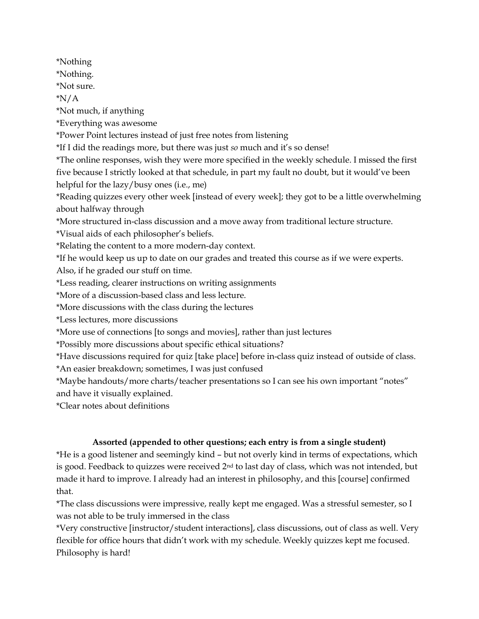\*Nothing

\*Nothing.

\*Not sure.

\*N/A

\*Not much, if anything

\*Everything was awesome

\*Power Point lectures instead of just free notes from listening

\*If I did the readings more, but there was just so much and it's so dense!

\*The online responses, wish they were more specified in the weekly schedule. I missed the first five because I strictly looked at that schedule, in part my fault no doubt, but it would've been helpful for the lazy/busy ones (i.e., me)

\*Reading quizzes every other week [instead of every week]; they got to be a little overwhelming about halfway through

\*More structured in-class discussion and a move away from traditional lecture structure.

\*Visual aids of each philosopher's beliefs.

\*Relating the content to a more modern-day context.

\*If he would keep us up to date on our grades and treated this course as if we were experts.

Also, if he graded our stuff on time.

\*Less reading, clearer instructions on writing assignments

\*More of a discussion-based class and less lecture.

\*More discussions with the class during the lectures

\*Less lectures, more discussions

\*More use of connections [to songs and movies], rather than just lectures

\*Possibly more discussions about specific ethical situations?

\*Have discussions required for quiz [take place] before in-class quiz instead of outside of class.

\*An easier breakdown; sometimes, I was just confused

\*Maybe handouts/more charts/teacher presentations so I can see his own important "notes" and have it visually explained.

\*Clear notes about definitions

## Assorted (appended to other questions; each entry is from a single student)

\*He is a good listener and seemingly kind – but not overly kind in terms of expectations, which is good. Feedback to quizzes were received 2nd to last day of class, which was not intended, but made it hard to improve. I already had an interest in philosophy, and this [course] confirmed that.

\*The class discussions were impressive, really kept me engaged. Was a stressful semester, so I was not able to be truly immersed in the class

\*Very constructive [instructor/student interactions], class discussions, out of class as well. Very flexible for office hours that didn't work with my schedule. Weekly quizzes kept me focused. Philosophy is hard!